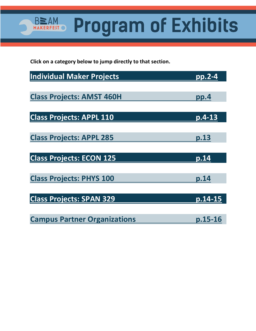**Program of Exhibits** 

**Click on a category below to jump directly to that section.** 

**BEAM** 

MAK

T  $\mathbf O$ 

| <b>Individual Maker Projects</b>    | <u>pp.2-4</u>       |
|-------------------------------------|---------------------|
|                                     |                     |
| <b>Class Projects: AMST 460H</b>    | pp.4                |
|                                     |                     |
| <b>Class Projects: APPL 110</b>     | $\overline{p.4-13}$ |
|                                     |                     |
| <b>Class Projects: APPL 285</b>     | p.13                |
|                                     |                     |
| <b>Class Projects: ECON 125</b>     | p.14                |
|                                     |                     |
| <b>Class Projects: PHYS 100</b>     | p.14                |
|                                     | p.14-15             |
| <b>Class Projects: SPAN 329</b>     |                     |
| <b>Campus Partner Organizations</b> | p.15-16             |
|                                     |                     |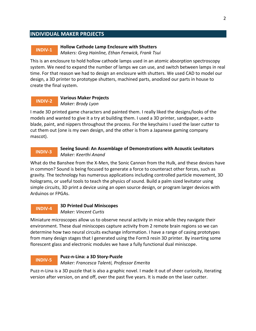### <span id="page-1-0"></span>**INDIVIDUAL MAKER PROJECTS**

### **INDIV-1**

### **Hollow Cathode Lamp Enclosure with Shutters**

*Makers: Greg Hainline, Ethan Fenwick, Frank Tsui*

This is an enclosure to hold hollow cathode lamps used in an atomic absorption spectroscopy system. We need to expand the number of lamps we can use, and switch between lamps in real time. For that reason we had to design an enclosure with shutters. We used CAD to model our design, a 3D printer to prototype shutters, machined parts, anodized our parts in house to create the final system.

#### **Various Maker Projects** *Maker: Brody Lyon* **INDIV-2**

I made 3D printed game characters and painted them. I really liked the designs/looks of the models and wanted to give it a try at building them. I used a 3D printer, sandpaper, x-acto blade, paint, and nippers throughout the process. For the keychains I used the laser cutter to cut them out (one is my own design, and the other is from a Japanese gaming company mascot).

#### **Seeing Sound: An Assemblage of Demonstrations with Acoustic Levitators** *Maker: Keerthi Anand* **INDIV-3**

What do the Banshee from the X-Men, the Sonic Cannon from the Hulk, and these devices have in common? Sound is being focused to generate a force to counteract other forces, such as gravity. The technology has numerous applications including controlled particle movement, 3D holograms, or useful tools to teach the physics of sound. Build a palm sized levitator using simple circuits, 3D print a device using an open source design, or program larger devices with Arduinos or FPGAs.

#### **3D Printed Dual Miniscopes** *Maker: Vincent Curtis* **INDIV-4**

Miniature microscopes allow us to observe neural activity in mice while they navigate their environment. These dual miniscopes capture activity from 2 remote brain regions so we can determine how two neural circuits exchange information. I have a range of casing prototypes from many design stages that I generated using the Form3 resin 3D printer. By inserting some florescent glass and electronic modules we have a fully functional dual miniscope.

#### **Puzz-n-Lina: a 3D Story-Puzzle** *Maker: Francesca Talenti, Professor Emerita* **INDIV-5**

Puzz-n-Lina is a 3D puzzle that is also a graphic novel. I made it out of sheer curiosity, iterating version after version, on and off, over the past five years. It is made on the laser cutter.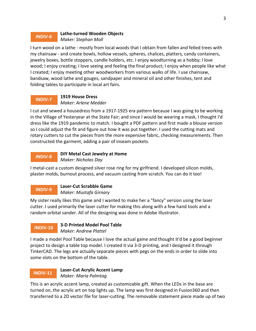#### **Lathe-turned Wooden Objects** *Maker: Stephan Moll* **INDIV-6**

I turn wood on a lathe - mostly from local woods that I obtain from fallen and felled trees with my chainsaw - and create bowls, hollow vessels, spheres, chalices, platters, candy containers, jewelry boxes, bottle stoppers, candle holders, etc. I enjoy woodturning as a hobby; I love wood; I enjoy creating; I love seeing and feeling the final product; I enjoy when people like what I created; I enjoy meeting other woodworkers from various walks of life. I use chainsaw, bandsaw, wood lathe and gouges, sandpaper and mineral oil and other finishes, tent and folding tables to participate in local art fairs.

#### **1919 House Dress** *Maker: Arlene Medder* **INDIV-7**

I cut and sewed a housedress from a 1917-1925 era pattern because I was going to be working in the Village of Yesteryear at the State Fair; and since I would be wearing a mask, I thought I'd dress like the 1919 pandemic to match. I bought a PDF pattern and first made a blouse version so I could adjust the fit and figure out how it was put together. I used the cutting mats and rotary cutters to cut the pieces from the more expensive fabric, checking measurements. Then constructed the garment, adding a pair of inseam pockets.

#### **DIY Metal Cast Jewelry at Home** *Maker: Nicholas Day* **INDIV-8**

I metal-cast a custom designed silver rose ring for my girlfriend. I developed silicon molds, plaster molds, burnout process, and vacuum casting from scratch. You can do it too!

# **INDIV-9**

**Laser-Cut Scrabble Game**

*Maker: Mustafa Girnary*

My sister really likes this game and I wanted to make her a "fancy" version using the laser cutter. I used primarily the laser cutter for making this along with a few hand tools and a random orbital sander. All of the designing was done in Adobe Illustrator.

# **INDIV-10**

### **3-D Printed Model Pool Table** *Maker: Andrew Plattel*

I made a model Pool Table because I love the actual game and thought it'd be a good beginner project to design a table top model. I created it via 3-D printing, and I designed it through TinkerCAD. The legs are actually separate pieces with pegs on the ends in order to slide into some slots on the bottom of the table.

# **INDIV-11**

**Laser-Cut Acrylic Accent Lamp** *Maker: Maria Palmtag*

This is an acrylic accent lamp, created as customizable gift. When the LEDs in the base are turned on, the acrylic art on top lights up. The lamp was first designed in Fusion360 and then transferred to a 2D vector file for laser-cutting. The removable statement piece made up of two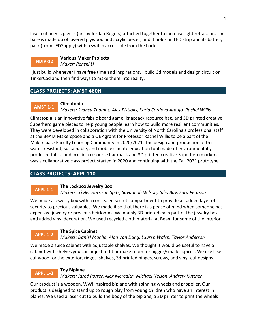<span id="page-3-0"></span>laser cut acrylic pieces (art by Jordan Rogers) attached together to increase light refraction. The base is made up of layered plywood and acrylic pieces, and it holds an LED strip and its battery pack (from LEDSupply) with a switch accessible from the back.

#### **Various Maker Projects** *Maker: Renzhi Li* **INDIV-12**

I just build whenever I have free time and inspirations. I build 3d models and design circuit on TinkerCad and then find ways to make them into reality.

# **CLASS PROJECTS: AMST 460H**

#### **Climatopia AMST 1-1**

*Makers: Sydney Thomas, Alex Pistiolis, Karla Cordova Araujo, Rachel Willis*

Climatopia is an innovative fabric board game, knapsack resource bag, and 3D printed creative Superhero game pieces to help young people learn how to build more resilient communities. They were developed in collaboration with the University of North Carolina's professional staff at the BeAM Makerspace and a QEP grant for Professor Rachel Willis to be a part of the Makerspace Faculty Learning Community in 2020/2021. The design and production of this water-resistant, sustainable, and mobile climate education tool made of environmentally produced fabric and inks in a resource backpack and 3D printed creative Superhero markers was a collaborative class project started in 2020 and continuing with the Fall 2021 prototype.

# **CLASS PROJECTS: APPL 110**

## **APPL 1-1**

### **The Lockbox Jewelry Box**

*Makers: Skyler Harrison Spitz, Savannah Wilson, Julia Bay, Sara Pearson*

We made a jewelry box with a concealed secret compartment to provide an added layer of security to precious valuables. We made it so that there is a peace of mind when someone has expensive jewelry or precious heirlooms. We mainly 3D printed each part of the jewelry box and added vinyl decoration. We used recycled cloth material at Beam for some of the interior.

#### **The Spice Cabinet APPL 1-2**

*Makers: Daniel Manila, Alan Van Dang, Lauren Walsh, Taylor Anderson*

We made a spice cabinet with adjustable shelves. We thought it would be useful to have a cabinet with shelves you can adjust to fit or make room for bigger/smaller spices. We use lasercut wood for the exterior, ridges, shelves, 3d printed hinges, screws, and vinyl-cut designs.

## **APPL 1-3**

## **Toy Biplane**

*Makers: Jared Porter, Alex Meredith, Michael Nelson, Andrew Kuttner*

Our product is a wooden, WWI inspired biplane with spinning wheels and propeller. Our product is designed to stand up to rough play from young children who have an interest in planes. We used a laser cut to build the body of the biplane, a 3D printer to print the wheels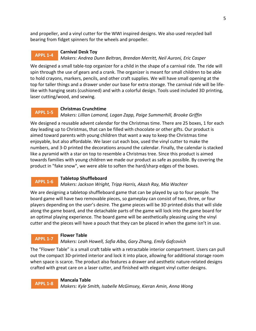and propeller, and a vinyl cutter for the WWI inspired designs. We also used recycled ball bearing from fidget spinners for the wheels and propeller.

#### **Carnival Desk Toy** *Makers: Andrea Dunn Beltran, Brendan Merritt, Neil Auroni, Eric Casper* **APPL 1-4**

We designed a small table-top organizer for a child in the shape of a carnival ride. The ride will spin through the use of gears and a crank. The organizer is meant for small children to be able to hold crayons, markers, pencils, and other craft supplies. We will have small opening at the top for taller things and a drawer under our base for extra storage. The carnival ride will be lifelike with hanging seats (cushioned) and with a colorful design. Tools used included 3D printing, laser cutting/wood, and sewing.

#### **Christmas Crunchtime** *Makers: Lillian Lamond, Logan Zapp, Paige Summerhill, Brooke Griffin* **APPL 1-5**

We designed a reusable advent calendar for the Christmas time. There are 25 boxes, 1 for each day leading up to Christmas, that can be filled with chocolate or other gifts. Our product is aimed toward parents with young children that want a way to keep the Christmas time enjoyable, but also affordable. We laser cut each box, used the vinyl cutter to make the numbers, and 3-D printed the decorations around the calendar. Finally, the calendar is stacked like a pyramid with a star on top to resemble a Christmas tree. Since this product is aimed towards families with young children we made our product as safe as possible. By covering the product in "fake snow", we were able to soften the hard/sharp edges of the boxes.

#### **Tabletop Shuffleboard APPL 1-6**

## *Makers: Jackson Wright, Tripp Harris, Akash Ray, Mia Wachter*

We are designing a tabletop shuffleboard game that can be played by up to four people. The board game will have two removable pieces, so gameplay can consist of two, three, or four players depending on the user's desire. The game pieces will be 3D printed disks that will slide along the game board, and the detachable parts of the game will lock into the game board for an optimal playing experience. The board game will be aesthetically pleasing using the vinyl cutter and the pieces will have a pouch that they can be placed in when the game isn't in use.

## **APPL 1-7**

## **Flower Table**

# *Makers: Leah Howell, Sofia Alba, Gary Zhang, Emily Gafcovich*

The "Flower Table" is a small craft table with a retractable interior compartment. Users can pull out the compact 3D-printed interior and lock it into place, allowing for additional storage room when space is scarce. The product also features a drawer and aesthetic nature-related designs crafted with great care on a laser cutter, and finished with elegant vinyl cutter designs.

## **APPL 1-8**

**Mancala Table**

*Makers: Kyle Smith, Isabelle McGimsey, Kieran Amin, Anna Wong*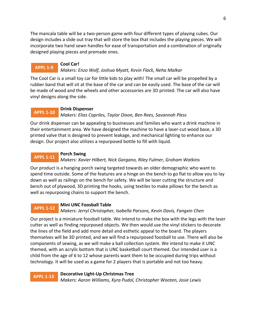The mancala table will be a two-person game with four different types of playing cubes. Our design includes a slide out tray that will store the box that includes the playing pieces. We will incorporate two hand sewn handles for ease of transportation and a combination of originally designed playing pieces and premade ones.

## **APPL 1-9**

## *Makers: Enzo Wolf, Joshua Myatt, Kevin Flack, Neha Malkar*

The Cool Car is a small toy car for little kids to play with! The small car will be propelled by a rubber band that will sit at the base of the car and can be easily used. The base of the car will be made of wood and the wheels and other accessories are 3D printed. The car will also have vinyl designs along the side.

### **Drink Dispenser**

**Cool Car!**

#### *Makers: Elias Capriles, Taylor Dixon, Ben Rees, Savannah Pless* **APPL 1-10**

Our drink dispenser can be appealing to businesses and families who want a drink machine in their entertainment area. We have designed the machine to have a laser-cut wood base, a 3D printed valve that is designed to prevent leakage, and mechanical lighting to enhance our design. Our project also utilizes a repurposed bottle to fill with liquid.

#### **Porch Swing APPL 1-11**

### *Makers: Xavier Hilbert, Nick Gargano, Riley Fulmer, Graham Watkins*

Our product is a hanging porch swing targeted towards an older demographic who want to spend time outside. Some of the features are a hinge on the bench to go flat to allow you to lay down as well as railings on the bench for safety. We will be laser cutting the structure and bench out of plywood, 3D printing the hooks, using textiles to make pillows for the bench as well as repurposing chains to support the bench.

### **Mini UNC Foosball Table**

#### *Makers: Jerryl Christopher, Isabella Parsons, Kevin Davis, Fangxin Chen* **APPL 1-12**

Our project is a miniature foosball table. We intend to make the box with the legs with the laser cutter as well as finding repurposed objects. We then would use the vinyl stickers to decorate the lines of the field and add more detail and esthetic appeal to the board. The players themselves will be 3D printed, and we will find a repurposed foosball to use. There will also be components of sewing, as we will make a ball collection system. We intend to make it UNC themed, with an acrylic bottom that is UNC basketball court themed. Our intended user is a child from the age of 6 to 12 whose parents want them to be occupied during trips without technology. It will be used as a game for 2 players that is portable and not too heavy.

## **APPL 1-13**

### **Decorative Light-Up Christmas Tree**

*Makers: Aaron Williams, Kyra Pudol, Christopher Wooten, Josie Lewis*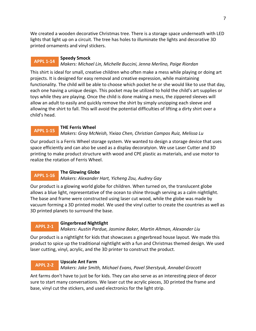We created a wooden decorative Christmas tree. There is a storage space underneath with LED lights that light up on a circuit. The tree has holes to illuminate the lights and decorative 3D printed ornaments and vinyl stickers.

#### **Speedy Smock APPL 1-14**

## *Makers: Michael Lin, Michelle Buccini, Jenna Merlino, Paige Riordan*

This shirt is ideal for small, creative children who often make a mess while playing or doing art projects. It is designed for easy removal and creative expression, while maintaining functionality. The child will be able to choose which pocket he or she would like to use that day, each one having a unique design. This pocket may be utilized to hold the child's art supplies or toys while they are playing. Once the child is done making a mess, the zippered sleeves will allow an adult to easily and quickly remove the shirt by simply unzipping each sleeve and allowing the shirt to fall. This will avoid the potential difficulties of lifting a dirty shirt over a child's head.

#### **THE Ferris Wheel APPL 1-15**

## *Makers: Gray McNeish, Yixiao Chen, Christian Campos Ruiz, Melissa Lu*

Our product is a Ferris Wheel storage system. We wanted to design a storage device that uses space efficiently and can also be used as a display decoratyion. We use Laser Cutter and 3D printing to make product structure with wood and CPE plastic as materials, and use motor to realize the rotation of Ferris Wheel.

#### **The Glowing Globe APPL 1-16**

## *Makers: Alexander Hart, Yicheng Zou, Audrey Gay*

Our product is a glowing world globe for children. When turned on, the translucent globe allows a blue light, representative of the ocean to shine through serving as a calm nightlight. The base and frame were constructed using laser cut wood, while the globe was made by vacuum forming a 3D printed model. We used the vinyl cutter to create the countries as well as 3D printed planets to surround the base.

#### **Gingerbread Nightlight APPL 2-1**

## *Makers: Austin Pardue, Jasmine Baker, Martin Altman, Alexander Liu*

Our product is a nightlight for kids that showcases a gingerbread house layout. We made this product to spice up the traditional nightlight with a fun and Christmas themed design. We used laser cutting, vinyl, acrylic, and the 3D printer to construct the product.

#### **Upscale Ant Farm APPL 2-2**

### *Makers: Jake Smith, Michael Evans, Pavel Sherstyuk, Annabel Grocott*

Ant farms don't have to just be for kids. They can also serve as an interesting piece of decor sure to start many conversations. We laser cut the acrylic pieces, 3D printed the frame and base, vinyl cut the stickers, and used electronics for the light strip.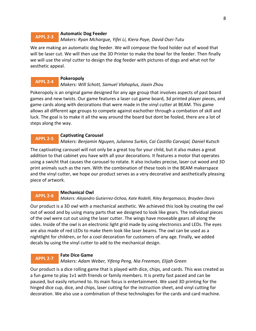#### **Automatic Dog Feeder** *Makers: Ryan Mchargue, Yifei Li, Kiera Paye, David Osei-Tutu* **APPL 2-3**

We are making an automatic dog feeder. We will compose the food holder out of wood that will be laser cut. We will then use the 3D Printer to make the bowl for the feeder. Then finally we will use the vinyl cutter to design the dog feeder with pictures of dogs and what not for aesthetic appeal.

#### **Pokeropoly APPL 2-4**

### *Makers: Will Schott, Samuel Vlahoplus, Jiaxin Zhou*

Pokeropoly is an original game designed for any age group that involves aspects of past board games and new twists. Our game features a laser cut game board, 3d printed player pieces, and game cards along with decorations that were made in the vinyl cutter at BEAM. This game allows all different age groups to compete against eachother through a combation of skill and luck. The goal is to make it all the way around the board but dont be fooled, there are a lot of steps along the way.

#### **Captivating Carousel APPL 2-5**

*Makers: Benjamin Nguyen, Julianna Surkin, Cai Castillo Carvajal, Daniel Kutsch*

The captivating carousel will not only be a great toy for your child, but it also makes a great addition to that cabinet you have with all your decorations. It features a motor that operates using a swicht that causes the carousel to rotate. It also includes precise, laser cut wood and 3D print animals such as the ram. With the combination of these tools in the BEAM makerspace and the vinyl cutter, we hope our product serves as a very decorative and aesthetically pleasing piece of artwork.

## **Mechanical Owl**

#### *Makers: Alejandro Gutierrez-Ochoa, Kate Rodelli, Riley Bergamasco, Brayden Davis* **APPL 2-6**

Our product is a 3D owl with a mechanical aesthetic. We achieved this look by creating the owl out of wood and by using many parts that we designed to look like gears. The individual pieces of the owl were cut out using the laser cutter. The wings have moveable gears all along the sides. Inside of the owl is an electronic light grid made by using electronics and LEDs. The eyes are also made of red LEDs to make them look like laser beams. The owl can be used as a nightlight for children, or for a cool decoration for customers of any age. Finally, we added decals by using the vinyl cutter to add to the mechanical design.

#### **Fate Dice Game** *Makers: Adam Weber, Yifeng Peng, Nia Freeman, Elijah Green* **APPL 2-7**

Our product is a dice rolling game that is played with dice, chips, and cards. This was created as a fun game to play 1v1 with friends or family members. It is pretty fast paced and can be paused, but easily returned to. Its main focus is entertainment. We used 3D printing for the hinged dice cup, dice, and chips, laser cutting for the instruction sheet, and vinyl cutting for decoration. We also use a combination of these technologies for the cards and card machine.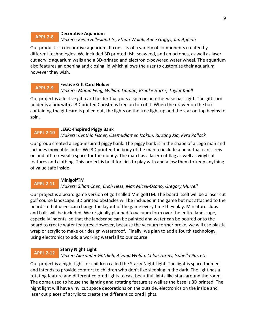#### **Decorative Aquarium** *Makers: Kevin Hillesland Jr., Ethan Wolak, Anne Griggs, Jim Appiah* **APPL 2-8**

Our product is a decorative aquarium. It consists of a variety of components created by different technologies. We included 3D printed fish, seaweed, and an octopus, as well as laser cut acrylic aquarium walls and a 3D-printed and electronic-powered water wheel. The aquarium also features an opening and closing lid which allows the user to customize their aquarium however they wish.

#### **Festive Gift Card Holder APPL 2-9**

## *Makers: Momo Feng, William Lipman, Brooke Harris, Taylor Knoll*

Our project is a festive gift card holder that puts a spin on an otherwise basic gift. The gift card holder is a box with a 3D printed Christmas tree on top of it. When the drawer on the box containing the gift card is pulled out, the lights on the tree light up and the star on top begins to spin.

#### **LEGO-Inspired Piggy Bank APPL 2-10**

## *Makers: Cynthia Fisher, Osemudiamen Izokun, Ruoting Xia, Kyra Pollock*

Our group created a Lego-inspired piggy bank. The piggy bank is in the shape of a Lego man and includes moveable limbs. We 3D printed the body of the man to include a head that can screw on and off to reveal a space for the money. The man has a laser-cut flag as well as vinyl cut features and clothing. This project is built for kids to play with and allow them to keep anything of value safe inside.

#### **MinigolfTM APPL 2-11**

## *Makers: Sihan Chen, Erich Hess, Max Miceli-Osano, Gregory Murrell*

Our project is a board game version of golf called MinigolfTM. The board itself will be a laser cut golf course landscape. 3D printed obstacles will be included in the game but not attached to the board so that users can change the layout of the game every time they play. Miniature clubs and balls will be included. We originally planned to vacuum form over the entire landscape, especially indents, so that the landscape can be painted and water can be poured onto the board to create water features. However, because the vacuum former broke, we will use plastic wrap or acrylic to make our design waterproof. Finally, we plan to add a fourth technology, using electronics to add a working waterfall to our course.

#### **Starry Night Light APPL 2-12**

## *Maker: Alexander Gottlieb, Aiyana Woldu, Chloe Zarins, Isabella Parrett*

Our project is a night light for children called the Starry Night Light. The light is space themed and intends to provide comfort to children who don't like sleeping in the dark. The light has a rotating feature and different colored lights to cast beautiful lights like stars around the room. The dome used to house the lighting and rotating feature as well as the base is 3D printed. The night light will have vinyl cut space decorations on the outside, electronics on the inside and laser cut pieces of acrylic to create the different colored lights.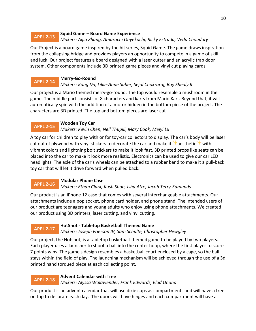#### **Squid Game – Board Game Experience APPL 2-13**

*Makers: Aijia Zhang, Amarachi Onyekachi, Ricky Estrada, Veda Choudary*

Our Project is a board game inspired by the hit series, Squid Game. The game draws inspiration from the collapsing bridge and provides players an opportunity to compete in a game of skill and luck. Our project features a board designed with a laser cutter and an acrylic trap door system. Other components include 3D printed game pieces and vinyl cut playing cards.

#### **Merry-Go-Round APPL 2-14**

## *Makers: Kang Du, Lillie-Anne Suber, Sejal Chakraraj, Ray Shealy II*

Our project is a Mario themed merry-go-round. The top would resemble a mushroom in the game. The middle part consists of 8 characters and karts from Mario Kart. Beyond that, it will automatically spin with the addition of a motor hidden in the bottom piece of the project. The characters are 3D printed. The top and bottom pieces are laser cut.

#### **Wooden Toy Car APPL 2-15**

## *Makers: Kevin Chen, Neil Thupili, Mary Cook, Meiyi Lu*

A toy car for children to play with or for toy-car collectors to display. The car's body will be laser cut out of plywood with vinyl stickers to decorate the car and make it  $\mathcal{H}$  aesthetic $\mathcal{H}$  with vibrant colors and lightning bolt stickers to make it look fast. 3D printed props like seats can be placed into the car to make it look more realistic. Electronics can be used to give our car LED headlights. The axle of the car's wheels can be attached to a rubber band to make it a pull-back toy car that will let it drive forward when pulled back.

#### **Modular Phone Case APPL 2-16**

## *Makers: Ethan Clark, Kush Shah, Isha Atre, Jacob Terry-Edmunds*

Our product is an iPhone 12 case that comes with several interchangeable attachments. Our attachments include a pop socket, phone card holder, and phone stand. The intended users of our product are teenagers and young adults who enjoy using phone attachments. We created our product using 3D printers, laser cutting, and vinyl cutting.

## **APPL 2-17**

## **HotShot - Tabletop Basketball Themed Game**

*Makers: Joseph Frierson IV, Sam Schulte, Christopher Hewgley*

Our project, the Hotshot, is a tabletop basketball-themed game to be played by two players. Each player uses a launcher to shoot a ball into the center hoop, where the first player to score 7 points wins. The game's design resembles a basketball court enclosed by a cage, so the ball stays within the field of play. The launching mechanism will be achieved through the use of a 3d printed hand torqued piece at each collecting point.

#### **Advent Calendar with Tree APPL 2-18**

*Makers: Alyssa Walawender, Frank Edwards, Elad Ohana*

Our product is an advent calendar that will use dixie cups as compartments and will have a tree on top to decorate each day. The doors will have hinges and each compartment will have a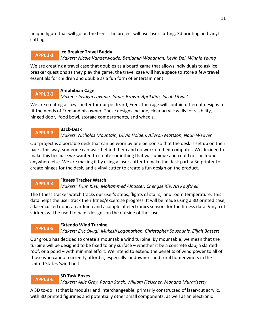unique figure that will go on the tree. The project will use laser cutting, 3d printing and vinyl cutting.

#### **Ice Breaker Travel Buddy APPL 3-1**

*Makers: Nicole Vanderwoude, Benjamin Woodman, Kevin Dai, Winnie Yeung*

We are creating a travel case that doubles as a board game that allows individuals to ask ice breaker questions as they play the game. the travel case will have space to store a few travel essentials for children and double as a fun form of entertainment.

#### **Amphibian Cage** *Makers: Justilyn Lavapie, James Brown, April Kim, Jacob Litvack* **APPL 3-2**

We are creating a cozy shelter for our pet lizard, Fred. The cage will contain different designs to fit the needs of Fred and his owner. These designs include, clear acrylic walls for visibility, hinged door, food bowl, storage compartments, and wheels.

## **Back-Desk**

**APPL 3-3**

*Makers: Nicholas Mountain, Olivia Holden, Allyson Mattson, Noah Weaver*

Our project is a portable desk that can be worn by one person so that the desk is set up on their back. This way, someone can walk behind them and do work on their computer. We decided to make this because we wanted to create something that was unique and could not be found anywhere else. We are making it by using a laser cutter to make the desk part, a 3d printer to create hinges for the desk, and a vinyl cutter to create a fun design on the product.

#### **Fitness Tracker Watch APPL 3-4**

## *Makers: Trinh Kieu, Mohammed Alnasser, Chengze Xie, Ari Kauftheil*

The fitness tracker watch tracks our user's steps, flights of stairs, and room temperature. This data helps the user track their fitnes/excercise progress. It will be made using a 3D printed case, a laser cutted door, an arduino and a couple of electronics sensors for the fitness data. Vinyl cut stickers will be used to paint designs on the outside of the case.

## **EXtendo Wind Turbine**

*Makers: Eric Oyugi, Mukesh Loganathan, Christopher Sousounis, Elijah Bassett* **APPL 3-5**

Our group has decided to create a mountable wind turbine. By mountable, we mean that the turbine will be designed to be fixed to any surface – whether it be a concrete slab, a slanted roof, or a pond – with minimal effort. We intend to extend the benefits of wind power to all of those who cannot currently afford it, especially landowners and rural homeowners in the United States 'wind belt.'

#### **3D Task Boxes APPL 3-6**

*Makers: Allie Grey, Ronan Stack, William Fleischer, Mohana Murarisetty*

A 3D to-do list that is modular and interchangeable, primarily constructed of laser-cut acrylic, with 3D printed figurines and potentially other small components, as well as an electronic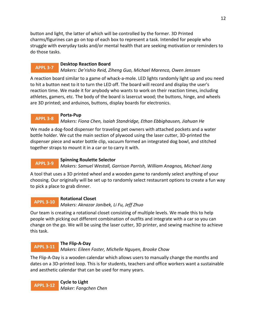button and light, the latter of which will be controlled by the former. 3D Printed charms/figurines can go on top of each box to represent a task. Intended for people who struggle with everyday tasks and/or mental health that are seeking motivation or reminders to do those tasks.

#### **Desktop Reaction Board APPL 3-7**

## *Makers: De'rishio Reid, Ziheng Guo, Michael Marenco, Owen Jenssen*

A reaction board similar to a game of whack-a-mole. LED lights randomly light up and you need to hit a button next to it to turn the LED off. The board will record and display the user's reaction time. We made it for anybody who wants to work on their reaction times, including athletes, gamers, etc. The body of the board is lasercut wood; the buttons, hinge, and wheels are 3D printed; and arduinos, buttons, display boards for electronics.

## **Porta-Pup**

#### *Makers: Fiona Chen, Isaiah Standridge, Ethan Ebbighausen, Jiahuan He* **APPL 3-8**

We made a dog-food dispenser for traveling pet owners with attached pockets and a water bottle holder. We cut the main section of plywood using the laser cutter, 3D-printed the dispenser piece and water bottle clip, vacuum formed an integrated dog bowl, and stitched together straps to mount it in a car or to carry it with.

#### **Spinning Roulette Selector APPL 3-9**

*Makers: Samuel Westall, Garrison Parrish, William Anagnos, Michael Jiang*

A tool that uses a 3D printed wheel and a wooden game to randomly select anything of your choosing. Our originally will be set up to randomly select restaurant options to create a fun way to pick a place to grab dinner.

#### **Rotational Closet** *Makers: Aknazar Janibek, Li Fu, Jeff Zhuo* **APPL 3-10**

Our team is creating a rotational closet consisting of multiple levels. We made this to help people with picking out different combination of outfits and integrate with a car so you can change on the go. We will be using the laser cutter, 3D printer, and sewing machine to achieve this task.

#### **The Flip-A-Day APPL 3-11**

*Makers: Eileen Foster, Michelle Nguyen, Brooke Chow*

The Flip-A-Day is a wooden calendar which allows users to manually change the months and dates on a 3D-printed loop. This is for students, teachers and office workers want a sustainable and aesthetic calendar that can be used for many years.

**Cycle to Light** *Maker: Fangchen Chen* **APPL 3-12**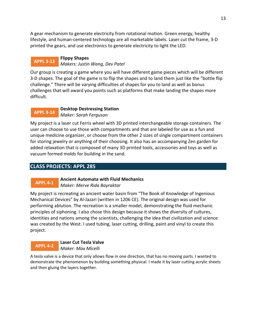<span id="page-12-0"></span>A gear mechanism to generate electricity from rotational motion. Green energy, healthy lifestyle, and human-centered technology are all marketable labels. Laser cut the frame, 3-D printed the gears, and use electronics to generate electricity to light the LED.

#### **Flippy Shapes** *Makers: Justin Wang, Dev Patel* **APPL 3-13**

Our group is creating a game where you will have different game pieces which will be different 3-D shapes. The goal of the game is to flip the shapes and to land them just like the "bottle flip challenge." There will be varying difficulties of shapes for you to land as well as bonus challenges that will award you points such as platforms that make landing the shapes more difficult.

#### **Desktop Destressing Station** *Maker: Sarah Ferguson* **APPL 3-14**

My project is a laser cut Ferris wheel with 3D printed interchangeable storage containers. The user can choose to use those with compartments and that are labeled for use as a fun and unique medicine organizer, or choose from the other 2 sizes of single compartment containers for storing jewelry or anything of their choosing. It also has an accompanying Zen garden for added relaxation that is composed of many 3D printed tools, accessories and toys as well as vacuum formed molds for building in the sand.

# **CLASS PROJECTS: APPL 285**

# **APPL 4-1**

**Ancient Automata with Fluid Mechanics** *Maker: Merve Rida Bayraktar*

My project is recreating an ancient water basin from "The Book of Knowledge of Ingenious Mechanical Devices" by Al-Jazari (written in 1206 CE). The original design was used for performing ablution. The recreation is a smaller model, demonstrating the fluid mechanic principles of siphoning. I also chose this design because it shows the diversity of cultures, identities and nations among the scientists, challenging the idea that civilization and science was created by the West. I used tubing, laser cutting, drilling, paint and vinyl to create this project.

#### **Laser Cut Tesla Valve** *Maker: Max Micelli* **APPL 4-2**

A tesla valve is a device that only allows flow in one direction, that has no moving parts. I wanted to demonstrate the phenomenon by building something physical. I made it by laser cutting acrylic sheets and then gluing the layers together.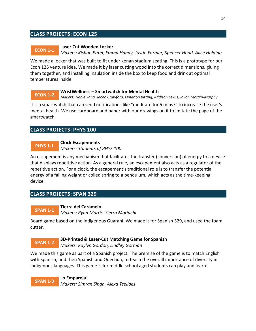## <span id="page-13-0"></span>**CLASS PROJECTS: ECON 125**

#### **Laser Cut Wooden Locker ECON 1-1**

*Makers: Kishan Patel, Emma Handy, Justin Farmer, Spencer Hood, Alice Holding*

We made a locker that was built to fit under kenan stadium seating. This is a prototype for our Econ 125 venture idea. We made it by laser cutting wood into the correct dimensions, gluing them together, and installing insulation inside the box to keep food and drink at optimal temperatures inside.

#### **WristWellness – Smartwatch for Mental Health ECON 1-2**

*Makers: Tianle Yang, Jacob Crawford, Omarion Bitting, Addison Lewis, Javon Mccain-Murphy*

It is a smartwatch that can send notifications like "meditate for 5 mins?" to increase the user's mental health. We use cardboard and paper with our drawings on it to imitate the page of the smartwatch.

## **CLASS PROJECTS: PHYS 100**

#### **Clock Escapements PHYS 1-1**

*Makers: Students of PHYS 100*

An escapement is any mechanism that facilitates the transfer (conversion) of energy to a device that displays repetitive action. As a general rule, an escapement also acts as a regulator of the repetitive action. For a clock, the escapement's traditional role is to transfer the potential energy of a falling weight or coiled spring to a pendulum, which acts as the time-keeping device.

## **CLASS PROJECTS: SPAN 329**

#### **Tierra del Caramelo** *Makers: Ryan Morris, Sierra Moriuchi* **SPAN 1-1**

Board game based on the indigenous Guaraní. We made it for Spanish 329, and used the foam cutter.

#### **3D-Printed & Laser-Cut Matching Game for Spanish SPAN 1-2**

*Makers: Kaylyn Gordon, Lindley Gorman*

We made this game as part of a Spanish project. The premise of the game is to match English with Spanish, and then Spanish and Quechua, to teach the overall importance of diversity in indigenous languages. This game is for middle school aged students can play and learn!

**Lo Empareja!** *Makers: Simran Singh, Alexa Tselides* **SPAN 1-3**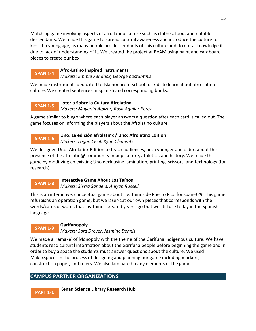Matching game involving aspects of afro latino culture such as clothes, food, and notable descendants. We made this game to spread cultural awareness and introduce the culture to kids at a young age, as many people are descendants of this culture and do not acknowledge it due to lack of understanding of it. We created the project at BeAM using paint and cardboard pieces to create our box.

#### **Afro-Latino Inspired Instruments** *Makers: Emmie Kendrick, George Kostantinis* **SPAN 1-4**

We made instruments dedicated to Isla nonprofit school for kids to learn about afro-Latina culture. We created sentences in Spanish and corresponding books.

#### **Lotería Sobre la Cultura Afrolatina SPAN 1-5**

*Makers: Mayerlin Alpizar, Rosa Aguilar Perez*

A game similar to bingo where each player answers a question after each card is called out. The game focuses on informing the players about the Afrolatino culture.

#### **Uno: La edición afrolatinx / Uno: Afrolatinx Edition SPAN 1-6**

*Makers: Logan Cecil, Ryan Clements*

We designed Uno: Afrolatinx Edition to teach audiences, both younger and older, about the presence of the afrolatin@ community in pop culture, athletics, and history. We made this game by modifying an existing Uno deck using lamination, printing, scissors, and technology (for research).

#### **Interactive Game About Los Taínos** *Makers: Sierra Sanders, Aniyah Russell* **SPAN 1-8**

This is an interactive, conceptual game about Los Taínos de Puerto Rico for span-329. This game refurbishs an operation game, but we laser-cut our own pieces that corresponds with the words/cards of words that los Taínos created years ago that we still use today in the Spanish language.

# **SPAN 1-9**

# **Garifunopoly**

*Makers: Sara Dreyer, Jasmine Dennis*

We made a 'remake' of Monopoly with the theme of the Garífuna indigenous culture. We have students read cultural information about the Garífuna people before beginning the game and in order to buy a space the students must answer questions about the culture. We used MakerSpaces in the process of designing and planning our game including markers, construction paper, and rulers. We also laminated many elements of the game.

# **CAMPUS PARTNER ORGANIZATIONS**

**Kenan Science Library Research Hub PART 1-1**